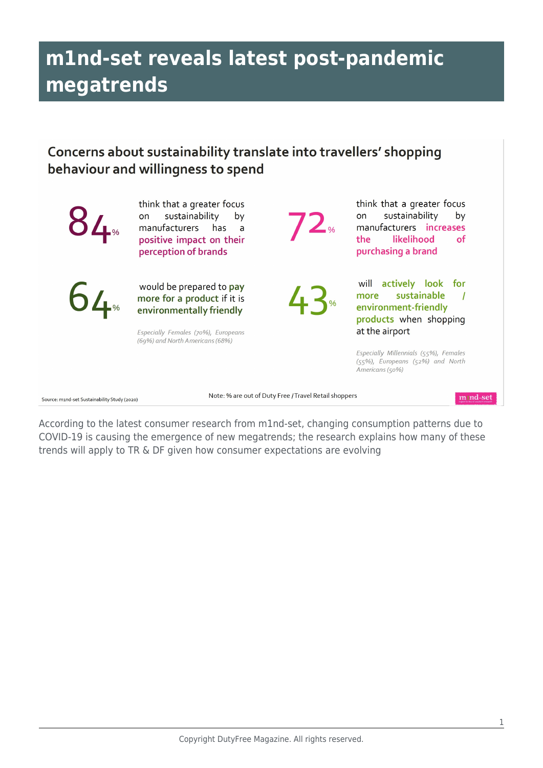## **m1nd-set reveals latest post-pandemic megatrends**

## Concerns about sustainability translate into travellers' shopping behaviour and willingness to spend

|                                                                                                           | think that a greater focus<br>sustainability<br>by<br>on<br>manufacturers<br>has<br>a<br>positive impact on their<br>perception of brands                     |  | think that a greater focus<br>sustainability<br>by<br>on<br>manufacturers increases<br>the<br>likelihood<br><b>of</b><br>purchasing a brand |
|-----------------------------------------------------------------------------------------------------------|---------------------------------------------------------------------------------------------------------------------------------------------------------------|--|---------------------------------------------------------------------------------------------------------------------------------------------|
| $64*$                                                                                                     | would be prepared to pay<br>more for a product if it is<br>environmentally friendly<br>Especially Females (70%), Europeans<br>(69%) and North Americans (68%) |  | actively look for<br>will<br>sustainable<br>more<br>environment-friendly<br>products when shopping<br>at the airport                        |
|                                                                                                           |                                                                                                                                                               |  | Especially Millennials (55%), Females<br>(55%), Europeans (52%) and North<br>Americans (50%)                                                |
| Note: % are out of Duty Free / Travel Retail shoppers<br>mind-set<br>mand-set Sustainability Study (2020) |                                                                                                                                                               |  |                                                                                                                                             |

According to the latest consumer research from m1nd-set, changing consumption patterns due to COVID-19 is causing the emergence of new megatrends; the research explains how many of these trends will apply to TR & DF given how consumer expectations are evolving

Source: mand-set Sustainability Study (2020)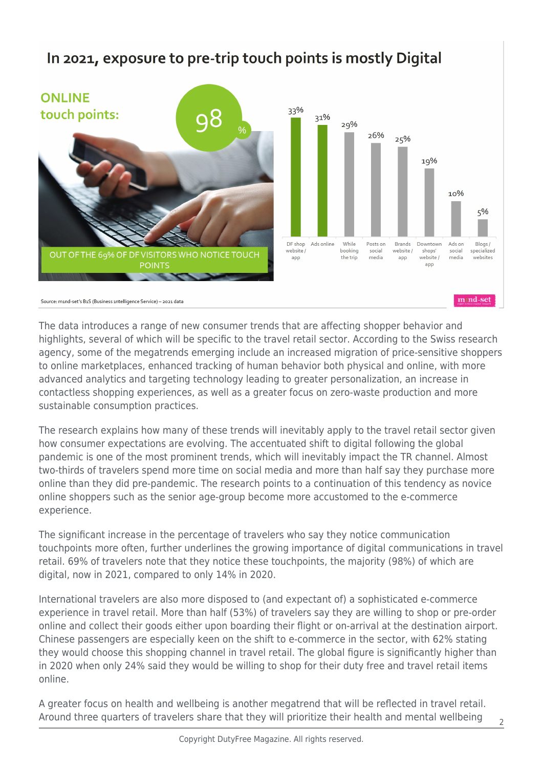## In 2021, exposure to pre-trip touch points is mostly Digital



The data introduces a range of new consumer trends that are affecting shopper behavior and highlights, several of which will be specific to the travel retail sector. According to the Swiss research agency, some of the megatrends emerging include an increased migration of price-sensitive shoppers to online marketplaces, enhanced tracking of human behavior both physical and online, with more advanced analytics and targeting technology leading to greater personalization, an increase in contactless shopping experiences, as well as a greater focus on zero-waste production and more sustainable consumption practices.

The research explains how many of these trends will inevitably apply to the travel retail sector given how consumer expectations are evolving. The accentuated shift to digital following the global pandemic is one of the most prominent trends, which will inevitably impact the TR channel. Almost two-thirds of travelers spend more time on social media and more than half say they purchase more online than they did pre-pandemic. The research points to a continuation of this tendency as novice online shoppers such as the senior age-group become more accustomed to the e-commerce experience.

The significant increase in the percentage of travelers who say they notice communication touchpoints more often, further underlines the growing importance of digital communications in travel retail. 69% of travelers note that they notice these touchpoints, the majority (98%) of which are digital, now in 2021, compared to only 14% in 2020.

International travelers are also more disposed to (and expectant of) a sophisticated e-commerce experience in travel retail. More than half (53%) of travelers say they are willing to shop or pre-order online and collect their goods either upon boarding their flight or on-arrival at the destination airport. Chinese passengers are especially keen on the shift to e-commerce in the sector, with 62% stating they would choose this shopping channel in travel retail. The global figure is significantly higher than in 2020 when only 24% said they would be willing to shop for their duty free and travel retail items online.

A greater focus on health and wellbeing is another megatrend that will be reflected in travel retail. Around three quarters of travelers share that they will prioritize their health and mental wellbeing